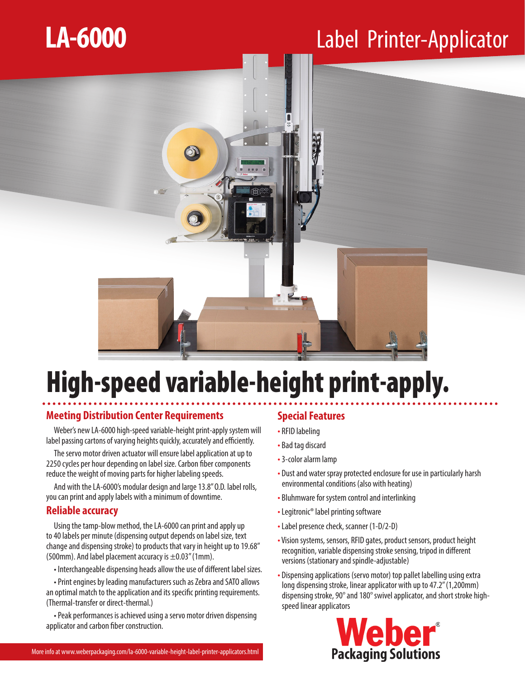## **LA-6000**

## Label Printer-Applicator



## High-speed variable-height print-apply.

### **Meeting Distribution Center Requirements**

Weber's new LA-6000 high-speed variable-height print-apply system will label passing cartons of varying heights quickly, accurately and efficiently.

The servo motor driven actuator will ensure label application at up to 2250 cycles per hour depending on label size. Carbon fiber components reduce the weight of moving parts for higher labeling speeds.

And with the LA-6000's modular design and large 13.8" O.D. label rolls, you can print and apply labels with a minimum of downtime.

#### **Reliable accuracy**

Using the tamp-blow method, the LA-6000 can print and apply up to 40 labels per minute (dispensing output depends on label size, text change and dispensing stroke) to products that vary in height up to 19.68" (500mm). And label placement accuracy is  $\pm$ 0.03" (1mm).

• Interchangeable dispensing heads allow the use of different label sizes.

• Print engines by leading manufacturers such as Zebra and SATO allows an optimal match to the application and its specific printing requirements. (Thermal-transfer or direct-thermal.)

• Peak performances is achieved using a servo motor driven dispensing applicator and carbon fiber construction.

### **Special Features**

- RFID labeling
- Bad tag discard
- 3-color alarm lamp
- Dust and water spray protected enclosure for use in particularly harsh environmental conditions (also with heating)
- Bluhmware for system control and interlinking
- Legitronic® label printing software
- Label presence check, scanner (1-D/2-D)
- Vision systems, sensors, RFID gates, product sensors, product height recognition, variable dispensing stroke sensing, tripod in different versions (stationary and spindle-adjustable)
- Dispensing applications (servo motor) top pallet labelling using extra long dispensing stroke, linear applicator with up to 47.2" (1,200mm) dispensing stroke, 90° and 180° swivel applicator, and short stroke highspeed linear applicators